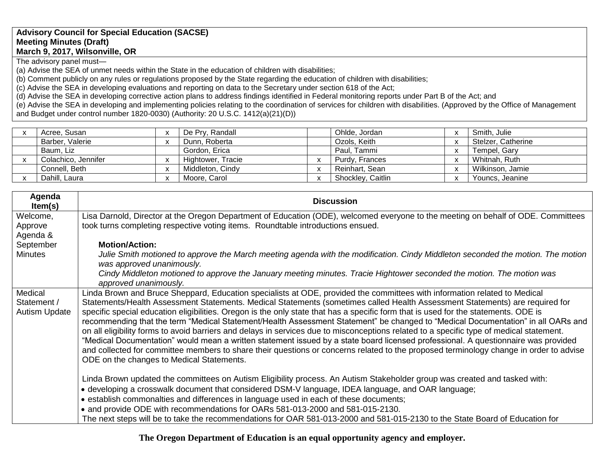## **Advisory Council for Special Education (SACSE) Meeting Minutes (Draft) March 9, 2017, Wilsonville, OR**

The advisory panel must—

(a) Advise the SEA of unmet needs within the State in the education of children with disabilities;

(b) Comment publicly on any rules or regulations proposed by the State regarding the education of children with disabilities;

(c) Advise the SEA in developing evaluations and reporting on data to the Secretary under section 618 of the Act;

(d) Advise the SEA in developing corrective action plans to address findings identified in Federal monitoring reports under Part B of the Act; and

(e) Advise the SEA in developing and implementing policies relating to the coordination of services for children with disabilities. (Approved by the Office of Management and Budget under control number 1820-0030) (Authority: 20 U.S.C. 1412(a)(21)(D))

| Acree, Susan        |                                          | De Pry, Randall   | Ohlde, Jordan     |                         | Smith, Julie       |
|---------------------|------------------------------------------|-------------------|-------------------|-------------------------|--------------------|
| Barber, Valerie     | $\ddot{\phantom{0}}$                     | Dunn, Roberta     | Ozols, Keith      |                         | Stelzer, Catherine |
| Baum, Liz           |                                          | Gordon, Erica     | Paul, Tammi       |                         | Tempel, Gary       |
| Colachico, Jennifer | $\overline{\phantom{a}}$                 | Hightower, Tracie | Purdy, Frances    |                         | Whitnah, Ruth      |
| Connell, Beth       | $\mathbf{v}$<br>$\mathbf{v}$             | Middleton, Cindy  | Reinhart, Sean    | $\overline{\mathbf{v}}$ | Wilkinson, Jamie   |
| Dahill, Laura       | $\overline{\phantom{a}}$<br>$\mathbf{v}$ | Moore, Carol      | Shockley, Caitlin |                         | Youncs, Jeanine    |

| Agenda<br>Item(s)                              | <b>Discussion</b>                                                                                                                                                                                                                                                                                                                                                                                                                                                                                                                                                                                                                                                                                                                                                                                                                                                                                                                                                                                             |
|------------------------------------------------|---------------------------------------------------------------------------------------------------------------------------------------------------------------------------------------------------------------------------------------------------------------------------------------------------------------------------------------------------------------------------------------------------------------------------------------------------------------------------------------------------------------------------------------------------------------------------------------------------------------------------------------------------------------------------------------------------------------------------------------------------------------------------------------------------------------------------------------------------------------------------------------------------------------------------------------------------------------------------------------------------------------|
| Welcome,<br>Approve<br>Agenda &                | Lisa Darnold, Director at the Oregon Department of Education (ODE), welcomed everyone to the meeting on behalf of ODE. Committees<br>took turns completing respective voting items. Roundtable introductions ensued.                                                                                                                                                                                                                                                                                                                                                                                                                                                                                                                                                                                                                                                                                                                                                                                          |
| September<br><b>Minutes</b>                    | <b>Motion/Action:</b><br>Julie Smith motioned to approve the March meeting agenda with the modification. Cindy Middleton seconded the motion. The motion<br>was approved unanimously.<br>Cindy Middleton motioned to approve the January meeting minutes. Tracie Hightower seconded the motion. The motion was<br>approved unanimously.                                                                                                                                                                                                                                                                                                                                                                                                                                                                                                                                                                                                                                                                       |
| Medical<br>Statement /<br><b>Autism Update</b> | Linda Brown and Bruce Sheppard, Education specialists at ODE, provided the committees with information related to Medical<br>Statements/Health Assessment Statements. Medical Statements (sometimes called Health Assessment Statements) are required for<br>specific special education eligibilities. Oregon is the only state that has a specific form that is used for the statements. ODE is<br>recommending that the term "Medical Statement/Health Assessment Statement" be changed to "Medical Documentation" in all OARs and<br>on all eligibility forms to avoid barriers and delays in services due to misconceptions related to a specific type of medical statement.<br>"Medical Documentation" would mean a written statement issued by a state board licensed professional. A questionnaire was provided<br>and collected for committee members to share their questions or concerns related to the proposed terminology change in order to advise<br>ODE on the changes to Medical Statements. |
|                                                | Linda Brown updated the committees on Autism Eligibility process. An Autism Stakeholder group was created and tasked with:<br>• developing a crosswalk document that considered DSM-V language, IDEA language, and OAR language;<br>• establish commonalties and differences in language used in each of these documents;<br>• and provide ODE with recommendations for OARs 581-013-2000 and 581-015-2130.<br>The next steps will be to take the recommendations for OAR 581-013-2000 and 581-015-2130 to the State Board of Education for                                                                                                                                                                                                                                                                                                                                                                                                                                                                   |

**The Oregon Department of Education is an equal opportunity agency and employer.**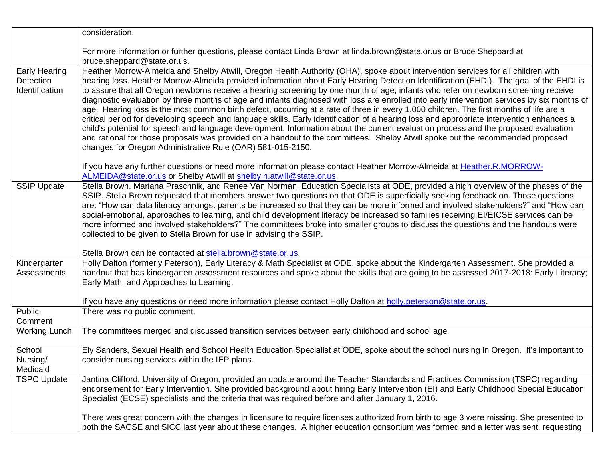|                                                     | consideration.                                                                                                                                                                                                                                                                                                                                                                                                                                                                                                                                                                                                                                                                                                                                                                                                                                                                                                                                                                                                                                                                                                                                                                                 |
|-----------------------------------------------------|------------------------------------------------------------------------------------------------------------------------------------------------------------------------------------------------------------------------------------------------------------------------------------------------------------------------------------------------------------------------------------------------------------------------------------------------------------------------------------------------------------------------------------------------------------------------------------------------------------------------------------------------------------------------------------------------------------------------------------------------------------------------------------------------------------------------------------------------------------------------------------------------------------------------------------------------------------------------------------------------------------------------------------------------------------------------------------------------------------------------------------------------------------------------------------------------|
|                                                     | For more information or further questions, please contact Linda Brown at linda.brown@state.or.us or Bruce Sheppard at<br>bruce.sheppard@state.or.us.                                                                                                                                                                                                                                                                                                                                                                                                                                                                                                                                                                                                                                                                                                                                                                                                                                                                                                                                                                                                                                           |
| <b>Early Hearing</b><br>Detection<br>Identification | Heather Morrow-Almeida and Shelby Atwill, Oregon Health Authority (OHA), spoke about intervention services for all children with<br>hearing loss. Heather Morrow-Almeida provided information about Early Hearing Detection Identification (EHDI). The goal of the EHDI is<br>to assure that all Oregon newborns receive a hearing screening by one month of age, infants who refer on newborn screening receive<br>diagnostic evaluation by three months of age and infants diagnosed with loss are enrolled into early intervention services by six months of<br>age. Hearing loss is the most common birth defect, occurring at a rate of three in every 1,000 children. The first months of life are a<br>critical period for developing speech and language skills. Early identification of a hearing loss and appropriate intervention enhances a<br>child's potential for speech and language development. Information about the current evaluation process and the proposed evaluation<br>and rational for those proposals was provided on a handout to the committees. Shelby Atwill spoke out the recommended proposed<br>changes for Oregon Administrative Rule (OAR) 581-015-2150. |
|                                                     | If you have any further questions or need more information please contact Heather Morrow-Almeida at Heather.R.MORROW-<br>ALMEIDA@state.or.us or Shelby Atwill at shelby.n.atwill@state.or.us.                                                                                                                                                                                                                                                                                                                                                                                                                                                                                                                                                                                                                                                                                                                                                                                                                                                                                                                                                                                                  |
| <b>SSIP Update</b>                                  | Stella Brown, Mariana Praschnik, and Renee Van Norman, Education Specialists at ODE, provided a high overview of the phases of the<br>SSIP. Stella Brown requested that members answer two questions on that ODE is superficially seeking feedback on. Those questions<br>are: "How can data literacy amongst parents be increased so that they can be more informed and involved stakeholders?" and "How can<br>social-emotional, approaches to learning, and child development literacy be increased so families receiving EI/EICSE services can be<br>more informed and involved stakeholders?" The committees broke into smaller groups to discuss the questions and the handouts were<br>collected to be given to Stella Brown for use in advising the SSIP.                                                                                                                                                                                                                                                                                                                                                                                                                              |
|                                                     | Stella Brown can be contacted at stella.brown@state.or.us.                                                                                                                                                                                                                                                                                                                                                                                                                                                                                                                                                                                                                                                                                                                                                                                                                                                                                                                                                                                                                                                                                                                                     |
| Kindergarten<br>Assessments                         | Holly Dalton (formerly Peterson), Early Literacy & Math Specialist at ODE, spoke about the Kindergarten Assessment. She provided a<br>handout that has kindergarten assessment resources and spoke about the skills that are going to be assessed 2017-2018: Early Literacy;<br>Early Math, and Approaches to Learning.                                                                                                                                                                                                                                                                                                                                                                                                                                                                                                                                                                                                                                                                                                                                                                                                                                                                        |
|                                                     | If you have any questions or need more information please contact Holly Dalton at holly peterson@state.or.us.                                                                                                                                                                                                                                                                                                                                                                                                                                                                                                                                                                                                                                                                                                                                                                                                                                                                                                                                                                                                                                                                                  |
| Public<br>Comment                                   | There was no public comment.                                                                                                                                                                                                                                                                                                                                                                                                                                                                                                                                                                                                                                                                                                                                                                                                                                                                                                                                                                                                                                                                                                                                                                   |
| <b>Working Lunch</b>                                | The committees merged and discussed transition services between early childhood and school age.                                                                                                                                                                                                                                                                                                                                                                                                                                                                                                                                                                                                                                                                                                                                                                                                                                                                                                                                                                                                                                                                                                |
| School<br>Nursing/<br>Medicaid                      | Ely Sanders, Sexual Health and School Health Education Specialist at ODE, spoke about the school nursing in Oregon. It's important to<br>consider nursing services within the IEP plans.                                                                                                                                                                                                                                                                                                                                                                                                                                                                                                                                                                                                                                                                                                                                                                                                                                                                                                                                                                                                       |
| <b>TSPC Update</b>                                  | Jantina Clifford, University of Oregon, provided an update around the Teacher Standards and Practices Commission (TSPC) regarding<br>endorsement for Early Intervention. She provided background about hiring Early Intervention (EI) and Early Childhood Special Education<br>Specialist (ECSE) specialists and the criteria that was required before and after January 1, 2016.                                                                                                                                                                                                                                                                                                                                                                                                                                                                                                                                                                                                                                                                                                                                                                                                              |
|                                                     | There was great concern with the changes in licensure to require licenses authorized from birth to age 3 were missing. She presented to<br>both the SACSE and SICC last year about these changes. A higher education consortium was formed and a letter was sent, requesting                                                                                                                                                                                                                                                                                                                                                                                                                                                                                                                                                                                                                                                                                                                                                                                                                                                                                                                   |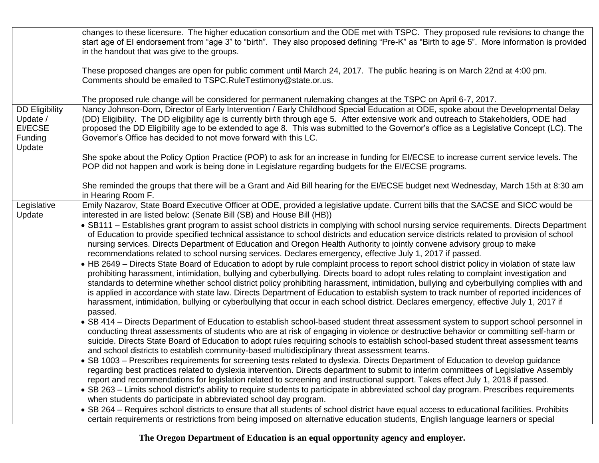|                                                                                 | changes to these licensure. The higher education consortium and the ODE met with TSPC. They proposed rule revisions to change the<br>start age of EI endorsement from "age 3" to "birth". They also proposed defining "Pre-K" as "Birth to age 5". More information is provided<br>in the handout that was give to the groups.<br>These proposed changes are open for public comment until March 24, 2017. The public hearing is on March 22nd at 4:00 pm.                                                                                                                                                                                                                                                                                                                                                                                                                                                                                                                                                                                                                                                                                                                                                                                                                                                                                                                                                                                                                                                                                                                                                                                                                                                                                                                                                                                                                                                                                                                                                                                                                                                                                                                                                                                                                                                                                                                                                                                                                                                                                                                                                                                                                                                                                                                            |
|---------------------------------------------------------------------------------|---------------------------------------------------------------------------------------------------------------------------------------------------------------------------------------------------------------------------------------------------------------------------------------------------------------------------------------------------------------------------------------------------------------------------------------------------------------------------------------------------------------------------------------------------------------------------------------------------------------------------------------------------------------------------------------------------------------------------------------------------------------------------------------------------------------------------------------------------------------------------------------------------------------------------------------------------------------------------------------------------------------------------------------------------------------------------------------------------------------------------------------------------------------------------------------------------------------------------------------------------------------------------------------------------------------------------------------------------------------------------------------------------------------------------------------------------------------------------------------------------------------------------------------------------------------------------------------------------------------------------------------------------------------------------------------------------------------------------------------------------------------------------------------------------------------------------------------------------------------------------------------------------------------------------------------------------------------------------------------------------------------------------------------------------------------------------------------------------------------------------------------------------------------------------------------------------------------------------------------------------------------------------------------------------------------------------------------------------------------------------------------------------------------------------------------------------------------------------------------------------------------------------------------------------------------------------------------------------------------------------------------------------------------------------------------------------------------------------------------------------------------------------------------|
|                                                                                 | Comments should be emailed to TSPC.RuleTestimony@state.or.us.                                                                                                                                                                                                                                                                                                                                                                                                                                                                                                                                                                                                                                                                                                                                                                                                                                                                                                                                                                                                                                                                                                                                                                                                                                                                                                                                                                                                                                                                                                                                                                                                                                                                                                                                                                                                                                                                                                                                                                                                                                                                                                                                                                                                                                                                                                                                                                                                                                                                                                                                                                                                                                                                                                                         |
|                                                                                 | The proposed rule change will be considered for permanent rulemaking changes at the TSPC on April 6-7, 2017.                                                                                                                                                                                                                                                                                                                                                                                                                                                                                                                                                                                                                                                                                                                                                                                                                                                                                                                                                                                                                                                                                                                                                                                                                                                                                                                                                                                                                                                                                                                                                                                                                                                                                                                                                                                                                                                                                                                                                                                                                                                                                                                                                                                                                                                                                                                                                                                                                                                                                                                                                                                                                                                                          |
| <b>DD Eligibility</b><br>Update /<br><b>EI/ECSE</b><br><b>Funding</b><br>Update | Nancy Johnson-Dorn, Director of Early Intervention / Early Childhood Special Education at ODE, spoke about the Developmental Delay<br>(DD) Eligibility. The DD eligibility age is currently birth through age 5. After extensive work and outreach to Stakeholders, ODE had<br>proposed the DD Eligibility age to be extended to age 8. This was submitted to the Governor's office as a Legislative Concept (LC). The<br>Governor's Office has decided to not move forward with this LC.                                                                                                                                                                                                                                                                                                                                                                                                                                                                                                                                                                                                                                                                                                                                                                                                                                                                                                                                                                                                                                                                                                                                                                                                                                                                                                                                                                                                                                                                                                                                                                                                                                                                                                                                                                                                                                                                                                                                                                                                                                                                                                                                                                                                                                                                                             |
|                                                                                 | She spoke about the Policy Option Practice (POP) to ask for an increase in funding for EI/ECSE to increase current service levels. The<br>POP did not happen and work is being done in Legislature regarding budgets for the EI/ECSE programs.                                                                                                                                                                                                                                                                                                                                                                                                                                                                                                                                                                                                                                                                                                                                                                                                                                                                                                                                                                                                                                                                                                                                                                                                                                                                                                                                                                                                                                                                                                                                                                                                                                                                                                                                                                                                                                                                                                                                                                                                                                                                                                                                                                                                                                                                                                                                                                                                                                                                                                                                        |
|                                                                                 | She reminded the groups that there will be a Grant and Aid Bill hearing for the EI/ECSE budget next Wednesday, March 15th at 8:30 am<br>in Hearing Room F.                                                                                                                                                                                                                                                                                                                                                                                                                                                                                                                                                                                                                                                                                                                                                                                                                                                                                                                                                                                                                                                                                                                                                                                                                                                                                                                                                                                                                                                                                                                                                                                                                                                                                                                                                                                                                                                                                                                                                                                                                                                                                                                                                                                                                                                                                                                                                                                                                                                                                                                                                                                                                            |
| Legislative<br>Update                                                           | Emily Nazarov, State Board Executive Officer at ODE, provided a legislative update. Current bills that the SACSE and SICC would be<br>interested in are listed below: (Senate Bill (SB) and House Bill (HB))<br>• SB111 - Establishes grant program to assist school districts in complying with school nursing service requirements. Directs Department<br>of Education to provide specified technical assistance to school districts and education service districts related to provision of school<br>nursing services. Directs Department of Education and Oregon Health Authority to jointly convene advisory group to make<br>recommendations related to school nursing services. Declares emergency, effective July 1, 2017 if passed.<br>• HB 2649 – Directs State Board of Education to adopt by rule complaint process to report school district policy in violation of state law<br>prohibiting harassment, intimidation, bullying and cyberbullying. Directs board to adopt rules relating to complaint investigation and<br>standards to determine whether school district policy prohibiting harassment, intimidation, bullying and cyberbullying complies with and<br>is applied in accordance with state law. Directs Department of Education to establish system to track number of reported incidences of<br>harassment, intimidation, bullying or cyberbullying that occur in each school district. Declares emergency, effective July 1, 2017 if<br>passed.<br>• SB 414 – Directs Department of Education to establish school-based student threat assessment system to support school personnel in<br>conducting threat assessments of students who are at risk of engaging in violence or destructive behavior or committing self-harm or<br>suicide. Directs State Board of Education to adopt rules requiring schools to establish school-based student threat assessment teams<br>and school districts to establish community-based multidisciplinary threat assessment teams.<br>• SB 1003 – Prescribes requirements for screening tests related to dyslexia. Directs Department of Education to develop guidance<br>regarding best practices related to dyslexia intervention. Directs department to submit to interim committees of Legislative Assembly<br>report and recommendations for legislation related to screening and instructional support. Takes effect July 1, 2018 if passed.<br>• SB 263 – Limits school district's ability to require students to participate in abbreviated school day program. Prescribes requirements<br>when students do participate in abbreviated school day program.<br>• SB 264 - Requires school districts to ensure that all students of school district have equal access to educational facilities. Prohibits |
|                                                                                 | certain requirements or restrictions from being imposed on alternative education students, English language learners or special                                                                                                                                                                                                                                                                                                                                                                                                                                                                                                                                                                                                                                                                                                                                                                                                                                                                                                                                                                                                                                                                                                                                                                                                                                                                                                                                                                                                                                                                                                                                                                                                                                                                                                                                                                                                                                                                                                                                                                                                                                                                                                                                                                                                                                                                                                                                                                                                                                                                                                                                                                                                                                                       |

**The Oregon Department of Education is an equal opportunity agency and employer.**